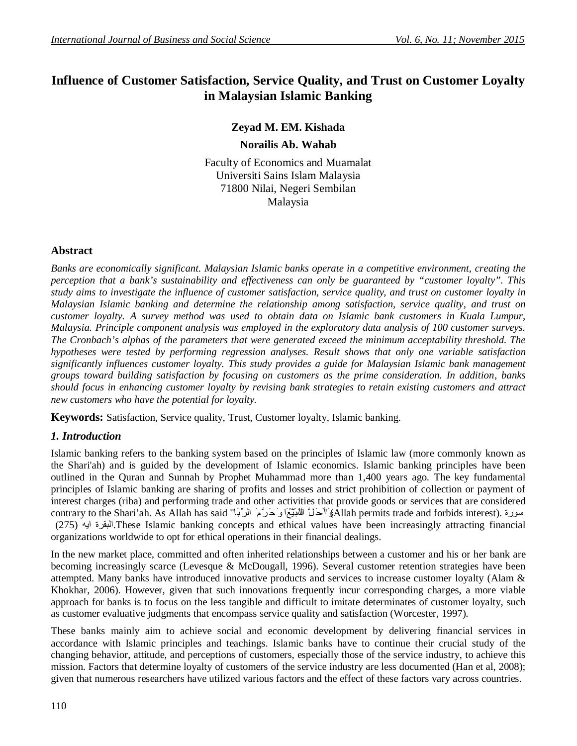# **Influence of Customer Satisfaction, Service Quality, and Trust on Customer Loyalty in Malaysian Islamic Banking**

# **Zeyad M. EM. Kishada**

**Norailis Ab. Wahab**

Faculty of Economics and Muamalat Universiti Sains Islam Malaysia 71800 Nilai, Negeri Sembilan Malaysia

# **Abstract**

*Banks are economically significant. Malaysian Islamic banks operate in a competitive environment, creating the perception that a bank's sustainability and effectiveness can only be guaranteed by "customer loyalty". This study aims to investigate the influence of customer satisfaction, service quality, and trust on customer loyalty in Malaysian Islamic banking and determine the relationship among satisfaction, service quality, and trust on customer loyalty. A survey method was used to obtain data on Islamic bank customers in Kuala Lumpur, Malaysia. Principle component analysis was employed in the exploratory data analysis of 100 customer surveys. The Cronbach's alphas of the parameters that were generated exceed the minimum acceptability threshold. The hypotheses were tested by performing regression analyses. Result shows that only one variable satisfaction significantly influences customer loyalty. This study provides a guide for Malaysian Islamic bank management groups toward building satisfaction by focusing on customers as the prime consideration. In addition, banks should focus in enhancing customer loyalty by revising bank strategies to retain existing customers and attract new customers who have the potential for loyalty.*

**Keywords:** Satisfaction, Service quality, Trust, Customer loyalty, Islamic banking.

# *1. Introduction*

Islamic banking refers to the banking system based on the principles of Islamic law (more commonly known as the Shari'ah) and is guided by the development of Islamic economics. Islamic banking principles have been outlined in the Quran and Sunnah by Prophet Muhammad more than 1,400 years ago. The key fundamental principles of Islamic banking are sharing of profits and losses and strict prohibition of collection or payment of interest charges (riba) and performing trade and other activities that provide goods or services that are considered contrary to the Shari'ah. As Allah has said "اَحَلَّ اللهيّيَّغَاوَحَرَّمَ الرِّبَا" allah permits trade and forbids interest). سورة (275) ایھ البقرة.These Islamic banking concepts and ethical values have been increasingly attracting financial organizations worldwide to opt for ethical operations in their financial dealings.

In the new market place, committed and often inherited relationships between a customer and his or her bank are becoming increasingly scarce (Levesque & McDougall, 1996). Several customer retention strategies have been attempted. Many banks have introduced innovative products and services to increase customer loyalty (Alam & Khokhar, 2006). However, given that such innovations frequently incur corresponding charges, a more viable approach for banks is to focus on the less tangible and difficult to imitate determinates of customer loyalty, such as customer evaluative judgments that encompass service quality and satisfaction (Worcester, 1997).

These banks mainly aim to achieve social and economic development by delivering financial services in accordance with Islamic principles and teachings. Islamic banks have to continue their crucial study of the changing behavior, attitude, and perceptions of customers, especially those of the service industry, to achieve this mission. Factors that determine loyalty of customers of the service industry are less documented (Han et al, 2008); given that numerous researchers have utilized various factors and the effect of these factors vary across countries.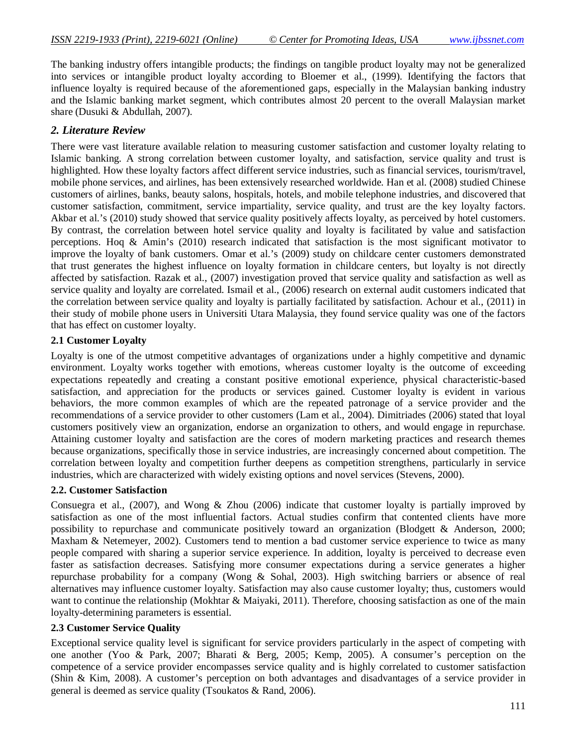The banking industry offers intangible products; the findings on tangible product loyalty may not be generalized into services or intangible product loyalty according to Bloemer et al., (1999). Identifying the factors that influence loyalty is required because of the aforementioned gaps, especially in the Malaysian banking industry and the Islamic banking market segment, which contributes almost 20 percent to the overall Malaysian market share (Dusuki & Abdullah, 2007).

# *2. Literature Review*

There were vast literature available relation to measuring customer satisfaction and customer loyalty relating to Islamic banking. A strong correlation between customer loyalty, and satisfaction, service quality and trust is highlighted. How these loyalty factors affect different service industries, such as financial services, tourism/travel, mobile phone services, and airlines, has been extensively researched worldwide. Han et al. (2008) studied Chinese customers of airlines, banks, beauty salons, hospitals, hotels, and mobile telephone industries, and discovered that customer satisfaction, commitment, service impartiality, service quality, and trust are the key loyalty factors. Akbar et al.'s (2010) study showed that service quality positively affects loyalty, as perceived by hotel customers. By contrast, the correlation between hotel service quality and loyalty is facilitated by value and satisfaction perceptions. Hoq & Amin's (2010) research indicated that satisfaction is the most significant motivator to improve the loyalty of bank customers. Omar et al.'s (2009) study on childcare center customers demonstrated that trust generates the highest influence on loyalty formation in childcare centers, but loyalty is not directly affected by satisfaction. Razak et al., (2007) investigation proved that service quality and satisfaction as well as service quality and loyalty are correlated. Ismail et al., (2006) research on external audit customers indicated that the correlation between service quality and loyalty is partially facilitated by satisfaction. Achour et al., (2011) in their study of mobile phone users in Universiti Utara Malaysia, they found service quality was one of the factors that has effect on customer loyalty.

## **2.1 Customer Loyalty**

Loyalty is one of the utmost competitive advantages of organizations under a highly competitive and dynamic environment. Loyalty works together with emotions, whereas customer loyalty is the outcome of exceeding expectations repeatedly and creating a constant positive emotional experience, physical characteristic-based satisfaction, and appreciation for the products or services gained. Customer loyalty is evident in various behaviors, the more common examples of which are the repeated patronage of a service provider and the recommendations of a service provider to other customers (Lam et al., 2004). Dimitriades (2006) stated that loyal customers positively view an organization, endorse an organization to others, and would engage in repurchase. Attaining customer loyalty and satisfaction are the cores of modern marketing practices and research themes because organizations, specifically those in service industries, are increasingly concerned about competition. The correlation between loyalty and competition further deepens as competition strengthens, particularly in service industries, which are characterized with widely existing options and novel services (Stevens, 2000).

## **2.2. Customer Satisfaction**

Consuegra et al., (2007), and Wong & Zhou (2006) indicate that customer loyalty is partially improved by satisfaction as one of the most influential factors. Actual studies confirm that contented clients have more possibility to repurchase and communicate positively toward an organization (Blodgett & Anderson, 2000; Maxham & Netemeyer, 2002). Customers tend to mention a bad customer service experience to twice as many people compared with sharing a superior service experience. In addition, loyalty is perceived to decrease even faster as satisfaction decreases. Satisfying more consumer expectations during a service generates a higher repurchase probability for a company (Wong & Sohal, 2003). High switching barriers or absence of real alternatives may influence customer loyalty. Satisfaction may also cause customer loyalty; thus, customers would want to continue the relationship (Mokhtar & Maiyaki, 2011). Therefore, choosing satisfaction as one of the main loyalty-determining parameters is essential.

## **2.3 Customer Service Quality**

Exceptional service quality level is significant for service providers particularly in the aspect of competing with one another (Yoo & Park, 2007; Bharati & Berg, 2005; Kemp, 2005). A consumer's perception on the competence of a service provider encompasses service quality and is highly correlated to customer satisfaction (Shin & Kim, 2008). A customer's perception on both advantages and disadvantages of a service provider in general is deemed as service quality (Tsoukatos & Rand, 2006).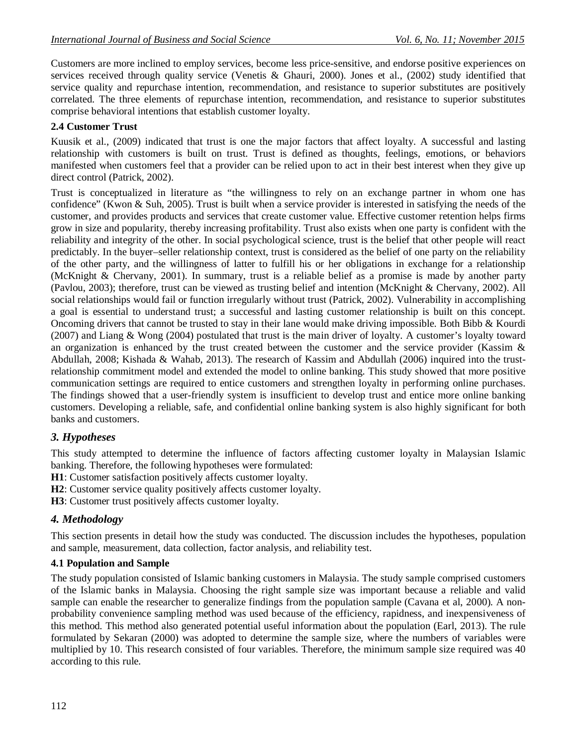Customers are more inclined to employ services, become less price-sensitive, and endorse positive experiences on services received through quality service (Venetis & Ghauri, 2000). Jones et al., (2002) study identified that service quality and repurchase intention, recommendation, and resistance to superior substitutes are positively correlated. The three elements of repurchase intention, recommendation, and resistance to superior substitutes comprise behavioral intentions that establish customer loyalty.

# **2.4 Customer Trust**

Kuusik et al., (2009) indicated that trust is one the major factors that affect loyalty. A successful and lasting relationship with customers is built on trust. Trust is defined as thoughts, feelings, emotions, or behaviors manifested when customers feel that a provider can be relied upon to act in their best interest when they give up direct control (Patrick, 2002).

Trust is conceptualized in literature as "the willingness to rely on an exchange partner in whom one has confidence" (Kwon & Suh, 2005). Trust is built when a service provider is interested in satisfying the needs of the customer, and provides products and services that create customer value. Effective customer retention helps firms grow in size and popularity, thereby increasing profitability. Trust also exists when one party is confident with the reliability and integrity of the other. In social psychological science, trust is the belief that other people will react predictably. In the buyer–seller relationship context, trust is considered as the belief of one party on the reliability of the other party, and the willingness of latter to fulfill his or her obligations in exchange for a relationship (McKnight & Chervany, 2001). In summary, trust is a reliable belief as a promise is made by another party (Pavlou, 2003); therefore, trust can be viewed as trusting belief and intention (McKnight & Chervany, 2002). All social relationships would fail or function irregularly without trust (Patrick, 2002). Vulnerability in accomplishing a goal is essential to understand trust; a successful and lasting customer relationship is built on this concept. Oncoming drivers that cannot be trusted to stay in their lane would make driving impossible. Both Bibb & Kourdi (2007) and Liang & Wong (2004) postulated that trust is the main driver of loyalty. A customer's loyalty toward an organization is enhanced by the trust created between the customer and the service provider (Kassim & Abdullah, 2008; Kishada & Wahab, 2013). The research of Kassim and Abdullah (2006) inquired into the trustrelationship commitment model and extended the model to online banking. This study showed that more positive communication settings are required to entice customers and strengthen loyalty in performing online purchases. The findings showed that a user-friendly system is insufficient to develop trust and entice more online banking customers. Developing a reliable, safe, and confidential online banking system is also highly significant for both banks and customers.

# *3. Hypotheses*

This study attempted to determine the influence of factors affecting customer loyalty in Malaysian Islamic banking. Therefore, the following hypotheses were formulated:

**H1**: Customer satisfaction positively affects customer loyalty.

**H2**: Customer service quality positively affects customer loyalty.

**H3**: Customer trust positively affects customer loyalty.

# *4. Methodology*

This section presents in detail how the study was conducted. The discussion includes the hypotheses, population and sample, measurement, data collection, factor analysis, and reliability test.

## **4.1 Population and Sample**

The study population consisted of Islamic banking customers in Malaysia. The study sample comprised customers of the Islamic banks in Malaysia. Choosing the right sample size was important because a reliable and valid sample can enable the researcher to generalize findings from the population sample (Cavana et al, 2000). A nonprobability convenience sampling method was used because of the efficiency, rapidness, and inexpensiveness of this method. This method also generated potential useful information about the population (Earl, 2013). The rule formulated by Sekaran (2000) was adopted to determine the sample size, where the numbers of variables were multiplied by 10. This research consisted of four variables. Therefore, the minimum sample size required was 40 according to this rule.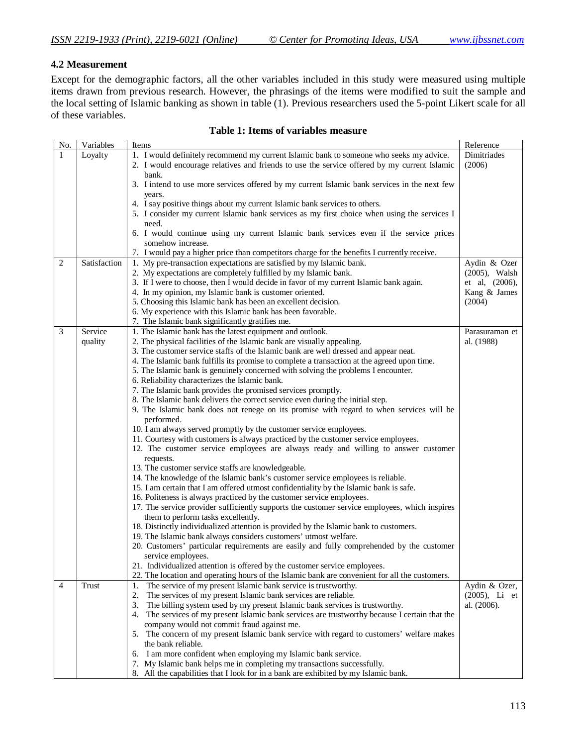#### **4.2 Measurement**

Except for the demographic factors, all the other variables included in this study were measured using multiple items drawn from previous research. However, the phrasings of the items were modified to suit the sample and the local setting of Islamic banking as shown in table (1). Previous researchers used the 5-point Likert scale for all of these variables.

| No.          | Variables    | Items                                                                                          | Reference        |
|--------------|--------------|------------------------------------------------------------------------------------------------|------------------|
| $\mathbf{1}$ | Loyalty      | 1. I would definitely recommend my current Islamic bank to someone who seeks my advice.        | Dimitriades      |
|              |              | 2. I would encourage relatives and friends to use the service offered by my current Islamic    | (2006)           |
|              |              | bank.                                                                                          |                  |
|              |              | 3. I intend to use more services offered by my current Islamic bank services in the next few   |                  |
|              |              | years.                                                                                         |                  |
|              |              | 4. I say positive things about my current Islamic bank services to others.                     |                  |
|              |              | 5. I consider my current Islamic bank services as my first choice when using the services I    |                  |
|              |              | need.                                                                                          |                  |
|              |              | 6. I would continue using my current Islamic bank services even if the service prices          |                  |
|              |              | somehow increase.                                                                              |                  |
|              |              | 7. I would pay a higher price than competitors charge for the benefits I currently receive.    |                  |
| 2            | Satisfaction | 1. My pre-transaction expectations are satisfied by my Islamic bank.                           | Aydin & Ozer     |
|              |              | 2. My expectations are completely fulfilled by my Islamic bank.                                | $(2005)$ , Walsh |
|              |              | 3. If I were to choose, then I would decide in favor of my current Islamic bank again.         | et al, (2006),   |
|              |              | 4. In my opinion, my Islamic bank is customer oriented.                                        | Kang & James     |
|              |              | 5. Choosing this Islamic bank has been an excellent decision.                                  | (2004)           |
|              |              | 6. My experience with this Islamic bank has been favorable.                                    |                  |
|              |              | 7. The Islamic bank significantly gratifies me.                                                |                  |
| 3            | Service      | 1. The Islamic bank has the latest equipment and outlook.                                      | Parasuraman et   |
|              | quality      | 2. The physical facilities of the Islamic bank are visually appealing.                         | al. (1988)       |
|              |              | 3. The customer service staffs of the Islamic bank are well dressed and appear neat.           |                  |
|              |              | 4. The Islamic bank fulfills its promise to complete a transaction at the agreed upon time.    |                  |
|              |              | 5. The Islamic bank is genuinely concerned with solving the problems I encounter.              |                  |
|              |              | 6. Reliability characterizes the Islamic bank.                                                 |                  |
|              |              | 7. The Islamic bank provides the promised services promptly.                                   |                  |
|              |              | 8. The Islamic bank delivers the correct service even during the initial step.                 |                  |
|              |              | 9. The Islamic bank does not renege on its promise with regard to when services will be        |                  |
|              |              | performed.                                                                                     |                  |
|              |              | 10. I am always served promptly by the customer service employees.                             |                  |
|              |              | 11. Courtesy with customers is always practiced by the customer service employees.             |                  |
|              |              | 12. The customer service employees are always ready and willing to answer customer             |                  |
|              |              | requests.<br>13. The customer service staffs are knowledgeable.                                |                  |
|              |              | 14. The knowledge of the Islamic bank's customer service employees is reliable.                |                  |
|              |              | 15. I am certain that I am offered utmost confidentiality by the Islamic bank is safe.         |                  |
|              |              | 16. Politeness is always practiced by the customer service employees.                          |                  |
|              |              | 17. The service provider sufficiently supports the customer service employees, which inspires  |                  |
|              |              | them to perform tasks excellently.                                                             |                  |
|              |              | 18. Distinctly individualized attention is provided by the Islamic bank to customers.          |                  |
|              |              | 19. The Islamic bank always considers customers' utmost welfare.                               |                  |
|              |              | 20. Customers' particular requirements are easily and fully comprehended by the customer       |                  |
|              |              | service employees.                                                                             |                  |
|              |              | 21. Individualized attention is offered by the customer service employees.                     |                  |
|              |              | 22. The location and operating hours of the Islamic bank are convenient for all the customers. |                  |
| 4            | Trust        | The service of my present Islamic bank service is trustworthy.<br>1.                           | Aydin & Ozer,    |
|              |              | The services of my present Islamic bank services are reliable.<br>2.                           | $(2005)$ , Li et |
|              |              | The billing system used by my present Islamic bank services is trustworthy.<br>3.              | al. (2006).      |
|              |              | 4. The services of my present Islamic bank services are trustworthy because I certain that the |                  |
|              |              | company would not commit fraud against me.                                                     |                  |
|              |              | 5. The concern of my present Islamic bank service with regard to customers' welfare makes      |                  |
|              |              | the bank reliable.                                                                             |                  |
|              |              | 6. I am more confident when employing my Islamic bank service.                                 |                  |
|              |              | 7. My Islamic bank helps me in completing my transactions successfully.                        |                  |
|              |              | 8. All the capabilities that I look for in a bank are exhibited by my Islamic bank.            |                  |

#### **Table 1: Items of variables measure**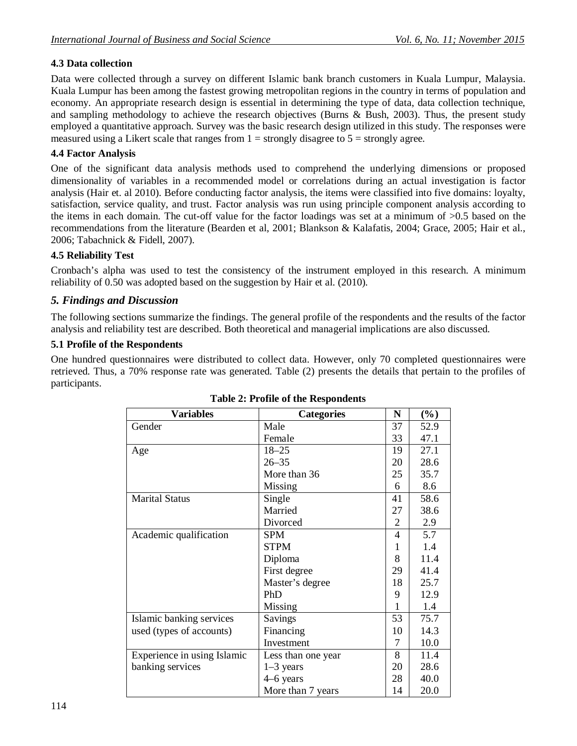# **4.3 Data collection**

Data were collected through a survey on different Islamic bank branch customers in Kuala Lumpur, Malaysia. Kuala Lumpur has been among the fastest growing metropolitan regions in the country in terms of population and economy. An appropriate research design is essential in determining the type of data, data collection technique, and sampling methodology to achieve the research objectives (Burns & Bush, 2003). Thus, the present study employed a quantitative approach. Survey was the basic research design utilized in this study. The responses were measured using a Likert scale that ranges from  $1 =$  strongly disagree to  $5 =$  strongly agree.

### **4.4 Factor Analysis**

One of the significant data analysis methods used to comprehend the underlying dimensions or proposed dimensionality of variables in a recommended model or correlations during an actual investigation is factor analysis (Hair et. al 2010). Before conducting factor analysis, the items were classified into five domains: loyalty, satisfaction, service quality, and trust. Factor analysis was run using principle component analysis according to the items in each domain. The cut-off value for the factor loadings was set at a minimum of >0.5 based on the recommendations from the literature (Bearden et al, 2001; Blankson & Kalafatis, 2004; Grace, 2005; Hair et al., 2006; Tabachnick & Fidell, 2007).

#### **4.5 Reliability Test**

Cronbach's alpha was used to test the consistency of the instrument employed in this research. A minimum reliability of 0.50 was adopted based on the suggestion by Hair et al. (2010).

## *5. Findings and Discussion*

The following sections summarize the findings. The general profile of the respondents and the results of the factor analysis and reliability test are described. Both theoretical and managerial implications are also discussed.

#### **5.1 Profile of the Respondents**

One hundred questionnaires were distributed to collect data. However, only 70 completed questionnaires were retrieved. Thus, a 70% response rate was generated. Table (2) presents the details that pertain to the profiles of participants.

| <b>Variables</b>            | <b>Categories</b>  | N              | $(\%)$ |
|-----------------------------|--------------------|----------------|--------|
| Gender                      | Male               | 37             | 52.9   |
|                             | Female             | 33             | 47.1   |
| Age                         | $18 - 25$          | 19             | 27.1   |
|                             | $26 - 35$          | 20             | 28.6   |
|                             | More than 36       | 25             | 35.7   |
|                             | Missing            | 6              | 8.6    |
| <b>Marital Status</b>       | Single             | 41             | 58.6   |
|                             | Married            | 27             | 38.6   |
|                             | Divorced           | $\overline{2}$ | 2.9    |
| Academic qualification      | <b>SPM</b>         | $\overline{4}$ | 5.7    |
|                             | <b>STPM</b>        | 1              | 1.4    |
|                             | Diploma            | 8              | 11.4   |
|                             | First degree       | 29             | 41.4   |
|                             | Master's degree    | 18             | 25.7   |
|                             | PhD                | 9              | 12.9   |
|                             | Missing            | 1              | 1.4    |
| Islamic banking services    | Savings            | 53             | 75.7   |
| used (types of accounts)    | Financing          | 10             | 14.3   |
|                             | Investment         | 7              | 10.0   |
| Experience in using Islamic | Less than one year | 8              | 11.4   |
| banking services            | $1-3$ years        | 20             | 28.6   |
|                             | 4–6 years          | 28             | 40.0   |
|                             | More than 7 years  | 14             | 20.0   |

#### **Table 2: Profile of the Respondents**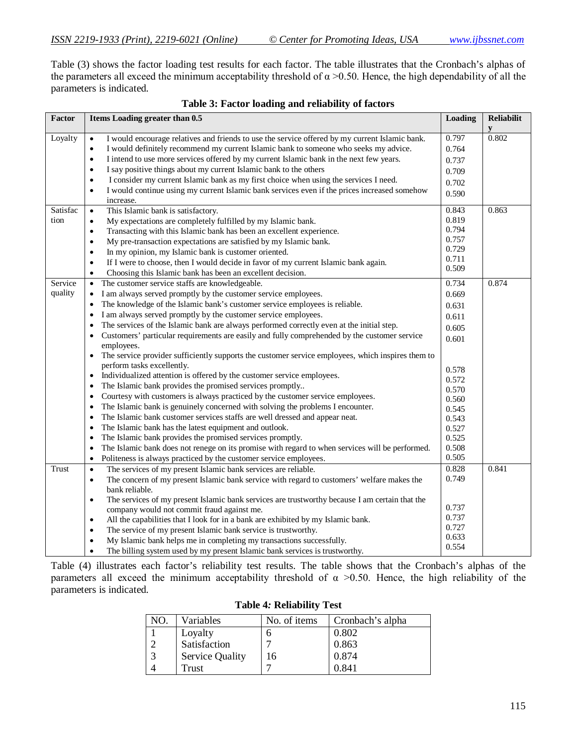Table (3) shows the factor loading test results for each factor. The table illustrates that the Cronbach's alphas of the parameters all exceed the minimum acceptability threshold of  $\alpha$  >0.50. Hence, the high dependability of all the parameters is indicated.

| y<br>0.802<br>Loyalty<br>0.797<br>I would encourage relatives and friends to use the service offered by my current Islamic bank.<br>$\bullet$<br>I would definitely recommend my current Islamic bank to someone who seeks my advice.<br>0.764<br>$\bullet$<br>I intend to use more services offered by my current Islamic bank in the next few years.<br>$\bullet$<br>0.737<br>I say positive things about my current Islamic bank to the others<br>$\bullet$<br>0.709<br>I consider my current Islamic bank as my first choice when using the services I need.<br>$\bullet$<br>0.702<br>I would continue using my current Islamic bank services even if the prices increased somehow<br>$\bullet$<br>0.590<br>increase. |
|---------------------------------------------------------------------------------------------------------------------------------------------------------------------------------------------------------------------------------------------------------------------------------------------------------------------------------------------------------------------------------------------------------------------------------------------------------------------------------------------------------------------------------------------------------------------------------------------------------------------------------------------------------------------------------------------------------------------------|
|                                                                                                                                                                                                                                                                                                                                                                                                                                                                                                                                                                                                                                                                                                                           |
|                                                                                                                                                                                                                                                                                                                                                                                                                                                                                                                                                                                                                                                                                                                           |
|                                                                                                                                                                                                                                                                                                                                                                                                                                                                                                                                                                                                                                                                                                                           |
|                                                                                                                                                                                                                                                                                                                                                                                                                                                                                                                                                                                                                                                                                                                           |
|                                                                                                                                                                                                                                                                                                                                                                                                                                                                                                                                                                                                                                                                                                                           |
|                                                                                                                                                                                                                                                                                                                                                                                                                                                                                                                                                                                                                                                                                                                           |
|                                                                                                                                                                                                                                                                                                                                                                                                                                                                                                                                                                                                                                                                                                                           |
| Satisfac<br>0.863<br>This Islamic bank is satisfactory.<br>0.843<br>$\bullet$                                                                                                                                                                                                                                                                                                                                                                                                                                                                                                                                                                                                                                             |
| 0.819<br>tion<br>My expectations are completely fulfilled by my Islamic bank.<br>$\bullet$                                                                                                                                                                                                                                                                                                                                                                                                                                                                                                                                                                                                                                |
| 0.794<br>Transacting with this Islamic bank has been an excellent experience.<br>$\bullet$                                                                                                                                                                                                                                                                                                                                                                                                                                                                                                                                                                                                                                |
| 0.757<br>My pre-transaction expectations are satisfied by my Islamic bank.<br>$\bullet$                                                                                                                                                                                                                                                                                                                                                                                                                                                                                                                                                                                                                                   |
| 0.729<br>In my opinion, my Islamic bank is customer oriented.<br>$\bullet$<br>0.711                                                                                                                                                                                                                                                                                                                                                                                                                                                                                                                                                                                                                                       |
| If I were to choose, then I would decide in favor of my current Islamic bank again.<br>٠<br>0.509                                                                                                                                                                                                                                                                                                                                                                                                                                                                                                                                                                                                                         |
| Choosing this Islamic bank has been an excellent decision.                                                                                                                                                                                                                                                                                                                                                                                                                                                                                                                                                                                                                                                                |
| Service<br>0.874<br>0.734<br>The customer service staffs are knowledgeable.<br>$\bullet$                                                                                                                                                                                                                                                                                                                                                                                                                                                                                                                                                                                                                                  |
| quality<br>I am always served promptly by the customer service employees.<br>0.669<br>$\bullet$                                                                                                                                                                                                                                                                                                                                                                                                                                                                                                                                                                                                                           |
| The knowledge of the Islamic bank's customer service employees is reliable.<br>$\bullet$<br>0.631                                                                                                                                                                                                                                                                                                                                                                                                                                                                                                                                                                                                                         |
| I am always served promptly by the customer service employees.<br>$\bullet$<br>0.611                                                                                                                                                                                                                                                                                                                                                                                                                                                                                                                                                                                                                                      |
| The services of the Islamic bank are always performed correctly even at the initial step.<br>$\bullet$<br>0.605                                                                                                                                                                                                                                                                                                                                                                                                                                                                                                                                                                                                           |
| Customers' particular requirements are easily and fully comprehended by the customer service<br>$\bullet$<br>0.601                                                                                                                                                                                                                                                                                                                                                                                                                                                                                                                                                                                                        |
| employees.                                                                                                                                                                                                                                                                                                                                                                                                                                                                                                                                                                                                                                                                                                                |
| The service provider sufficiently supports the customer service employees, which inspires them to                                                                                                                                                                                                                                                                                                                                                                                                                                                                                                                                                                                                                         |
| perform tasks excellently.<br>0.578                                                                                                                                                                                                                                                                                                                                                                                                                                                                                                                                                                                                                                                                                       |
| Individualized attention is offered by the customer service employees.<br>٠<br>0.572                                                                                                                                                                                                                                                                                                                                                                                                                                                                                                                                                                                                                                      |
| The Islamic bank provides the promised services promptly<br>$\bullet$<br>0.570                                                                                                                                                                                                                                                                                                                                                                                                                                                                                                                                                                                                                                            |
| Courtesy with customers is always practiced by the customer service employees.<br>٠<br>0.560                                                                                                                                                                                                                                                                                                                                                                                                                                                                                                                                                                                                                              |
| The Islamic bank is genuinely concerned with solving the problems I encounter.<br>0.545                                                                                                                                                                                                                                                                                                                                                                                                                                                                                                                                                                                                                                   |
| The Islamic bank customer services staffs are well dressed and appear neat.<br>$\bullet$<br>0.543                                                                                                                                                                                                                                                                                                                                                                                                                                                                                                                                                                                                                         |
| The Islamic bank has the latest equipment and outlook.<br>0.527<br>٠                                                                                                                                                                                                                                                                                                                                                                                                                                                                                                                                                                                                                                                      |
| The Islamic bank provides the promised services promptly.<br>0.525<br>$\bullet$                                                                                                                                                                                                                                                                                                                                                                                                                                                                                                                                                                                                                                           |
| 0.508<br>The Islamic bank does not renege on its promise with regard to when services will be performed.<br>$\bullet$<br>0.505                                                                                                                                                                                                                                                                                                                                                                                                                                                                                                                                                                                            |
| Politeness is always practiced by the customer service employees.<br>$\bullet$                                                                                                                                                                                                                                                                                                                                                                                                                                                                                                                                                                                                                                            |
| 0.841<br>Trust<br>The services of my present Islamic bank services are reliable.<br>0.828<br>$\bullet$<br>0.749                                                                                                                                                                                                                                                                                                                                                                                                                                                                                                                                                                                                           |
| The concern of my present Islamic bank service with regard to customers' welfare makes the<br>$\bullet$<br>bank reliable.                                                                                                                                                                                                                                                                                                                                                                                                                                                                                                                                                                                                 |
|                                                                                                                                                                                                                                                                                                                                                                                                                                                                                                                                                                                                                                                                                                                           |
| The services of my present Islamic bank services are trustworthy because I am certain that the<br>$\bullet$<br>0.737<br>company would not commit fraud against me.                                                                                                                                                                                                                                                                                                                                                                                                                                                                                                                                                        |
| 0.737<br>All the capabilities that I look for in a bank are exhibited by my Islamic bank.<br>٠                                                                                                                                                                                                                                                                                                                                                                                                                                                                                                                                                                                                                            |
| 0.727<br>The service of my present Islamic bank service is trustworthy.<br>$\bullet$                                                                                                                                                                                                                                                                                                                                                                                                                                                                                                                                                                                                                                      |
| 0.633<br>My Islamic bank helps me in completing my transactions successfully.<br>$\bullet$                                                                                                                                                                                                                                                                                                                                                                                                                                                                                                                                                                                                                                |
| 0.554<br>The billing system used by my present Islamic bank services is trustworthy.                                                                                                                                                                                                                                                                                                                                                                                                                                                                                                                                                                                                                                      |

|  |  |  |  | Table 3: Factor loading and reliability of factors |  |
|--|--|--|--|----------------------------------------------------|--|
|--|--|--|--|----------------------------------------------------|--|

Table (4) illustrates each factor's reliability test results. The table shows that the Cronbach's alphas of the parameters all exceed the minimum acceptability threshold of  $\alpha > 0.50$ . Hence, the high reliability of the parameters is indicated.

| NO. | Variables              | No. of items | Cronbach's alpha |
|-----|------------------------|--------------|------------------|
|     | Loyalty                |              | 0.802            |
|     | Satisfaction           |              | 0.863            |
|     | <b>Service Quality</b> | 16           | 0.874            |
|     | Trust                  |              | 0.841            |

#### **Table 4***:* **Reliability Test**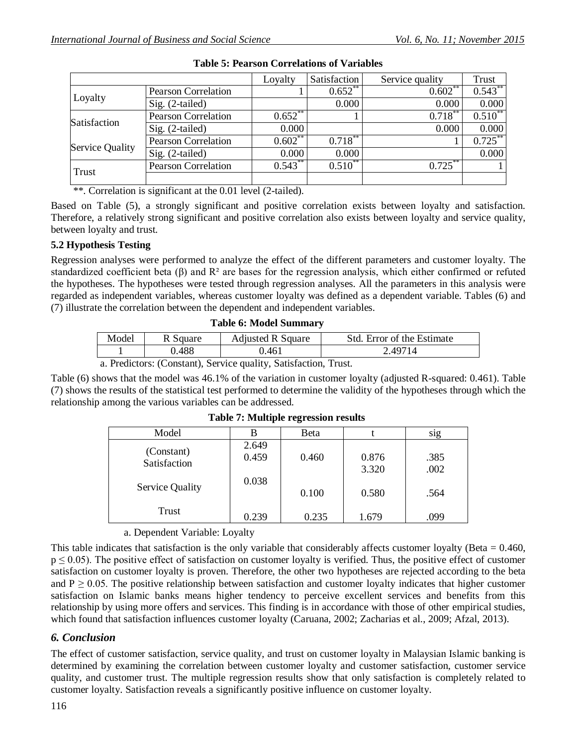|                 |                            | Loyalty    | Satisfaction | Service quality | <b>Trust</b> |
|-----------------|----------------------------|------------|--------------|-----------------|--------------|
|                 | <b>Pearson Correlation</b> |            | $0.652$ **   | $0.602**$       | $0.543$ **   |
| Loyalty         | $Sig. (2-tailed)$          |            | 0.000        | 0.000           | 0.000        |
| Satisfaction    | <b>Pearson Correlation</b> | $0.652**$  |              | $0.718***$      | $0.510^{**}$ |
|                 | Sig. (2-tailed)            | 0.000      |              | 0.000           | 0.000        |
|                 | <b>Pearson Correlation</b> | $0.602$ ** | $0.718***$   |                 | $0.725***$   |
| Service Quality | Sig. (2-tailed)            | 0.000      | 0.000        |                 | 0.000        |
| <b>Trust</b>    | <b>Pearson Correlation</b> | $0.543***$ | $0.510^{**}$ | $0.725$ **      |              |
|                 |                            |            |              |                 |              |

\*\*. Correlation is significant at the 0.01 level (2-tailed).

Based on Table (5), a strongly significant and positive correlation exists between loyalty and satisfaction. Therefore, a relatively strong significant and positive correlation also exists between loyalty and service quality, between loyalty and trust.

## **5.2 Hypothesis Testing**

Regression analyses were performed to analyze the effect of the different parameters and customer loyalty. The standardized coefficient beta ( $\beta$ ) and  $\mathbb{R}^2$  are bases for the regression analysis, which either confirmed or refuted the hypotheses. The hypotheses were tested through regression analyses. All the parameters in this analysis were regarded as independent variables, whereas customer loyalty was defined as a dependent variable. Tables (6) and (7) illustrate the correlation between the dependent and independent variables.

#### **Table 6: Model Summary**

| Model | R Square | <b>Adjusted R Square</b> | Std. Error of the Estimate |
|-------|----------|--------------------------|----------------------------|
|       | .488     | ).461                    | 2 49714                    |

a. Predictors: (Constant), Service quality, Satisfaction, Trust.

Table (6) shows that the model was 46.1% of the variation in customer loyalty (adjusted R-squared: 0.461). Table (7) shows the results of the statistical test performed to determine the validity of the hypotheses through which the relationship among the various variables can be addressed.

| . .                        |                |       |                |                  |  |  |
|----------------------------|----------------|-------|----------------|------------------|--|--|
| Model                      | В              | Beta  |                | S <sub>1</sub> g |  |  |
| (Constant)<br>Satisfaction | 2.649<br>0.459 | 0.460 | 0.876<br>3.320 | .385<br>.002     |  |  |
| <b>Service Quality</b>     | 0.038          | 0.100 | 0.580          | .564             |  |  |
| Trust                      | 0.239          | 0.235 | 1.679          | .099             |  |  |

**Table 7: Multiple regression results**

a. Dependent Variable: Loyalty

This table indicates that satisfaction is the only variable that considerably affects customer loyalty (Beta  $= 0.460$ ,  $p \le 0.05$ ). The positive effect of satisfaction on customer loyalty is verified. Thus, the positive effect of customer satisfaction on customer loyalty is proven. Therefore, the other two hypotheses are rejected according to the beta and  $P \ge 0.05$ . The positive relationship between satisfaction and customer loyalty indicates that higher customer satisfaction on Islamic banks means higher tendency to perceive excellent services and benefits from this relationship by using more offers and services. This finding is in accordance with those of other empirical studies, which found that satisfaction influences customer loyalty (Caruana, 2002; Zacharias et al., 2009; Afzal, 2013).

## *6. Conclusion*

The effect of customer satisfaction, service quality, and trust on customer loyalty in Malaysian Islamic banking is determined by examining the correlation between customer loyalty and customer satisfaction, customer service quality, and customer trust. The multiple regression results show that only satisfaction is completely related to customer loyalty. Satisfaction reveals a significantly positive influence on customer loyalty.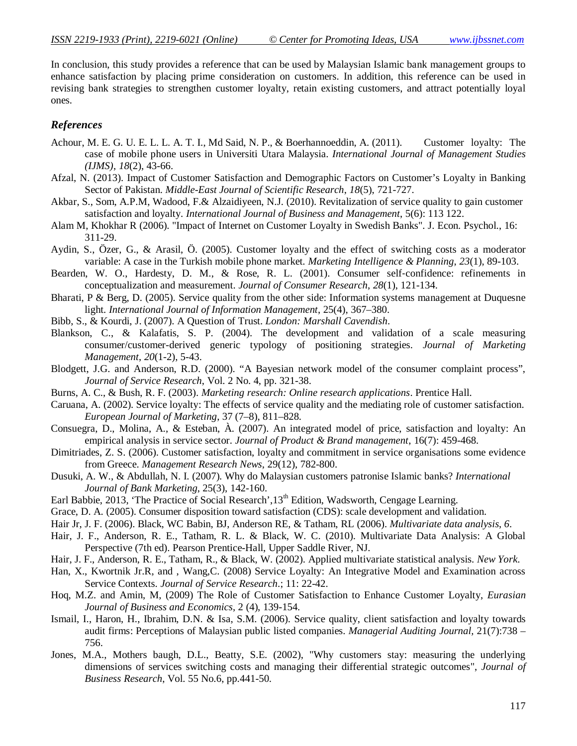In conclusion, this study provides a reference that can be used by Malaysian Islamic bank management groups to enhance satisfaction by placing prime consideration on customers. In addition, this reference can be used in revising bank strategies to strengthen customer loyalty, retain existing customers, and attract potentially loyal ones.

#### *References*

- Achour, M. E. G. U. E. L. L. A. T. I., Md Said, N. P., & Boerhannoeddin, A. (2011). Customer loyalty: The case of mobile phone users in Universiti Utara Malaysia. *International Journal of Management Studies (IJMS)*, *18*(2), 43-66.
- Afzal, N. (2013). Impact of Customer Satisfaction and Demographic Factors on Customer's Loyalty in Banking Sector of Pakistan. *Middle-East Journal of Scientific Research*, *18*(5), 721-727.
- Akbar, S., Som, A.P.M, Wadood, F.& Alzaidiyeen, N.J. (2010). Revitalization of service quality to gain customer satisfaction and loyalty. *International Journal of Business and Management*, 5(6): 113 122.
- Alam M, Khokhar R (2006). "Impact of Internet on Customer Loyalty in Swedish Banks". J. Econ. Psychol., 16: 311-29.
- Aydin, S., Özer, G., & Arasil, Ö. (2005). Customer loyalty and the effect of switching costs as a moderator variable: A case in the Turkish mobile phone market. *Marketing Intelligence & Planning*, *23*(1), 89-103.
- Bearden, W. O., Hardesty, D. M., & Rose, R. L. (2001). Consumer self-confidence: refinements in conceptualization and measurement. *Journal of Consumer Research*, *28*(1), 121-134.
- Bharati, P & Berg, D. (2005). Service quality from the other side: Information systems management at Duquesne light. *International Journal of Information Management*, 25(4), 367–380.
- Bibb, S., & Kourdi, J. (2007). A Question of Trust. *London: Marshall Cavendish*.
- Blankson, C., & Kalafatis, S. P. (2004). The development and validation of a scale measuring consumer/customer-derived generic typology of positioning strategies. *Journal of Marketing Management*, *20*(1-2), 5-43.
- Blodgett, J.G. and Anderson, R.D. (2000). "A Bayesian network model of the consumer complaint process", *Journal of Service Research*, Vol. 2 No. 4, pp. 321-38.
- Burns, A. C., & Bush, R. F. (2003). *Marketing research: Online research applications*. Prentice Hall.
- Caruana, A. (2002). Service loyalty: The effects of service quality and the mediating role of customer satisfaction. *European Journal of Marketing*, 37 (7–8), 811–828.
- Consuegra, D., Molina, A., & Esteban, À. (2007). An integrated model of price, satisfaction and loyalty: An empirical analysis in service sector. *Journal of Product & Brand management*, 16(7): 459-468.
- Dimitriades, Z. S. (2006). Customer satisfaction, loyalty and commitment in service organisations some evidence from Greece. *Management Research News*, 29(12), 782-800.
- Dusuki, A. W., & Abdullah, N. I. (2007). Why do Malaysian customers patronise Islamic banks? *International Journal of Bank Marketing*, 25(3), 142-160.
- Earl Babbie, 2013, 'The Practice of Social Research', 13<sup>th</sup> Edition, Wadsworth, Cengage Learning.
- Grace, D. A. (2005). Consumer disposition toward satisfaction (CDS): scale development and validation.
- Hair Jr, J. F. (2006). Black, WC Babin, BJ, Anderson RE, & Tatham, RL (2006). *Multivariate data analysis*, *6*.
- Hair, J. F., Anderson, R. E., Tatham, R. L. & Black, W. C. (2010). Multivariate Data Analysis: A Global Perspective (7th ed). Pearson Prentice-Hall, Upper Saddle River, NJ.
- Hair, J. F., Anderson, R. E., Tatham, R., & Black, W. (2002). Applied multivariate statistical analysis. *New York*.
- Han, X., Kwortnik Jr.R, and , Wang,C. (2008) Service Loyalty: An Integrative Model and Examination across Service Contexts. *Journal of Service Research*.; 11: 22-42.
- Hoq, M.Z. and Amin, M, (2009) The Role of Customer Satisfaction to Enhance Customer Loyalty, *Eurasian Journal of Business and Economics*, 2 (4), 139-154.
- Ismail, I., Haron, H., Ibrahim, D.N. & Isa, S.M. (2006). Service quality, client satisfaction and loyalty towards audit firms: Perceptions of Malaysian public listed companies. *Managerial Auditing Journal,* 21(7):738 – 756.
- Jones, M.A., Mothers baugh, D.L., Beatty, S.E. (2002), "Why customers stay: measuring the underlying dimensions of services switching costs and managing their differential strategic outcomes", *Journal of Business Research*, Vol. 55 No.6, pp.441-50.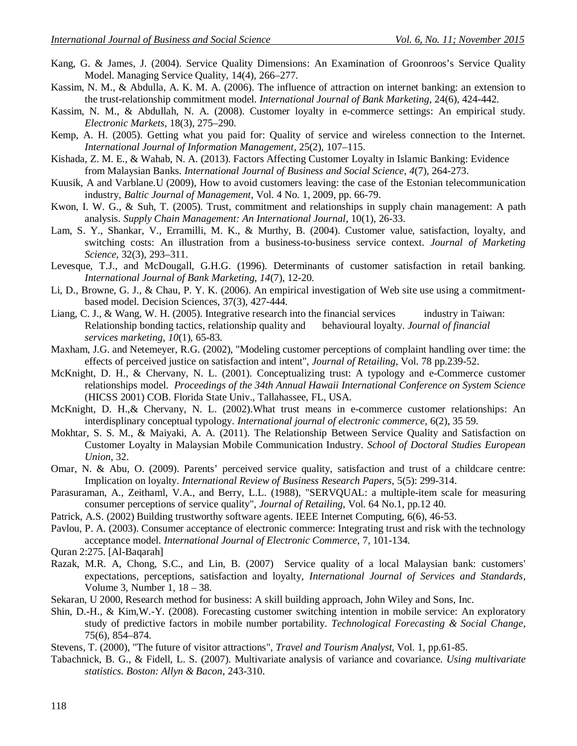- Kang, G. & James, J. (2004). Service Quality Dimensions: An Examination of Groonroos's Service Quality Model. Managing Service Quality, 14(4), 266–277.
- Kassim, N. M., & Abdulla, A. K. M. A. (2006). The influence of attraction on internet banking: an extension to the trust-relationship commitment model. *International Journal of Bank Marketing*, 24(6), 424-442.
- Kassim, N. M., & Abdullah, N. A. (2008). Customer loyalty in e-commerce settings: An empirical study*. Electronic Markets*, 18(3), 275–290.
- Kemp, A. H. (2005). Getting what you paid for: Quality of service and wireless connection to the Internet*. International Journal of Information Management*, 25(2), 107–115.
- Kishada, Z. M. E., & Wahab, N. A. (2013). Factors Affecting Customer Loyalty in Islamic Banking: Evidence from Malaysian Banks. *International Journal of Business and Social Science*, *4*(7), 264-273.
- Kuusik, A and Varblane.U (2009), How to avoid customers leaving: the case of the Estonian telecommunication industry, *Baltic Journal of Management*, Vol. 4 No. 1, 2009, pp. 66-79.
- Kwon, I. W. G., & Suh, T. (2005). Trust, commitment and relationships in supply chain management: A path analysis. *Supply Chain Management: An International Journal*, 10(1), 26-33.
- Lam, S. Y., Shankar, V., Erramilli, M. K., & Murthy, B. (2004). Customer value, satisfaction, loyalty, and switching costs: An illustration from a business-to-business service context. *Journal of Marketing Science*, 32(3), 293–311.
- Levesque, T.J., and McDougall, G.H.G. (1996). Determinants of customer satisfaction in retail banking. *International Journal of Bank Marketing, 14*(7), 12-20.
- Li, D., Browne, G. J., & Chau, P. Y. K. (2006). An empirical investigation of Web site use using a commitmentbased model. Decision Sciences, 37(3), 427-444.
- Liang, C. J., & Wang, W. H. (2005). Integrative research into the financial services industry in Taiwan: Relationship bonding tactics, relationship quality and behavioural loyalty. *Journal of financial services marketing*, *10*(1), 65-83.
- Maxham, J.G. and Netemeyer, R.G. (2002), "Modeling customer perceptions of complaint handling over time: the effects of perceived justice on satisfaction and intent", *Journal of Retailing*, Vol. 78 pp.239-52.
- McKnight, D. H., & Chervany, N. L. (2001). Conceptualizing trust: A typology and e-Commerce customer relationships model. *Proceedings of the 34th Annual Hawaii International Conference on System Science* (HICSS 2001) COB. Florida State Univ., Tallahassee, FL, USA.
- McKnight, D. H.,& Chervany, N. L. (2002).What trust means in e-commerce customer relationships: An interdisplinary conceptual typology. *International journal of electronic commerce*, 6(2), 35 59.
- Mokhtar, S. S. M., & Maiyaki, A. A. (2011). The Relationship Between Service Quality and Satisfaction on Customer Loyalty in Malaysian Mobile Communication Industry. *School of Doctoral Studies European Union*, 32.
- Omar, N. & Abu, O. (2009). Parents' perceived service quality, satisfaction and trust of a childcare centre: Implication on loyalty. *International Review of Business Research Papers*, 5(5): 299-314.
- Parasuraman, A., Zeithaml, V.A., and Berry, L.L. (1988), "SERVQUAL: a multiple-item scale for measuring consumer perceptions of service quality", *Journal of Retailing*, Vol. 64 No.1, pp.12 40.
- Patrick, A.S. (2002) Building trustworthy software agents. IEEE Internet Computing, 6(6), 46-53.
- Pavlou, P. A. (2003). Consumer acceptance of electronic commerce: Integrating trust and risk with the technology acceptance model. *International Journal of Electronic Commerce*, 7, 101-134.
- Quran 2:275. [Al-Baqarah]
- Razak, M.R. A, Chong, S.C., and Lin, B. (2007) Service quality of a local Malaysian bank: customers' expectations, perceptions, satisfaction and loyalty, *International Journal of Services and Standards*, Volume 3, Number 1, 18 – 38.
- Sekaran, U 2000, Research method for business: A skill building approach, John Wiley and Sons, Inc.
- Shin, D.-H., & Kim,W.-Y. (2008). Forecasting customer switching intention in mobile service: An exploratory study of predictive factors in mobile number portability. *Technological Forecasting & Social Change*, 75(6), 854–874.
- Stevens, T. (2000), "The future of visitor attractions", *Travel and Tourism Analyst*, Vol. 1, pp.61-85.
- Tabachnick, B. G., & Fidell, L. S. (2007). Multivariate analysis of variance and covariance. *Using multivariate statistics. Boston: Allyn & Bacon*, 243-310.